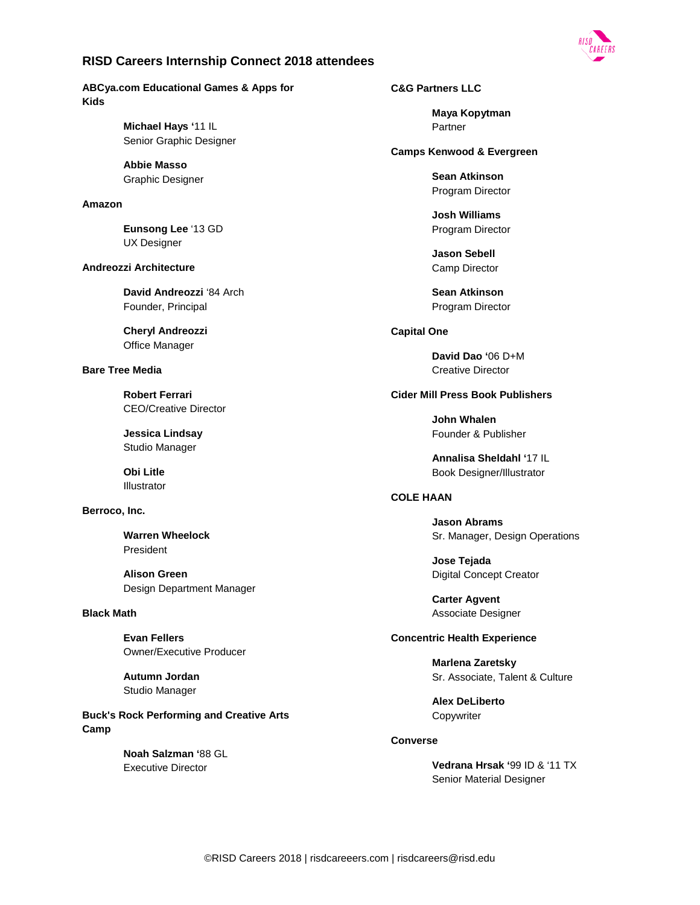

**ABCya.com Educational Games & Apps for Kids**

> **Michael Hays '**11 IL Senior Graphic Designer

**Abbie Masso**  Graphic Designer

#### **Amazon**

**Eunsong Lee** '13 GD UX Designer

### **Andreozzi Architecture**

**David Andreozzi** '84 Arch Founder, Principal

**Cheryl Andreozzi**  Office Manager

### **Bare Tree Media**

**Robert Ferrari**  CEO/Creative Director

**Jessica Lindsay**  Studio Manager

**Obi Litle**  Illustrator

## **Berroco, Inc.**

**Warren Wheelock**  President

**Alison Green**  Design Department Manager

### **Black Math**

**Evan Fellers**  Owner/Executive Producer

**Autumn Jordan**  Studio Manager

**Buck's Rock Performing and Creative Arts Camp**

> **Noah Salzman '**88 GL Executive Director

### **C&G Partners LLC**

**Maya Kopytman**  Partner

**Camps Kenwood & Evergreen**

**Sean Atkinson**  Program Director

**Josh Williams**  Program Director

**Jason Sebell**  Camp Director

**Sean Atkinson**  Program Director

#### **Capital One**

**David Dao '**06 D+M Creative Director

#### **Cider Mill Press Book Publishers**

**John Whalen**  Founder & Publisher

**Annalisa Sheldahl '**17 IL Book Designer/Illustrator

## **COLE HAAN**

**Jason Abrams**  Sr. Manager, Design Operations

**Jose Tejada**  Digital Concept Creator

**Carter Agvent**  Associate Designer

## **Concentric Health Experience**

**Marlena Zaretsky**  Sr. Associate, Talent & Culture

**Alex DeLiberto Copywriter** 

#### **Converse**

**Vedrana Hrsak '**99 ID & '11 TX Senior Material Designer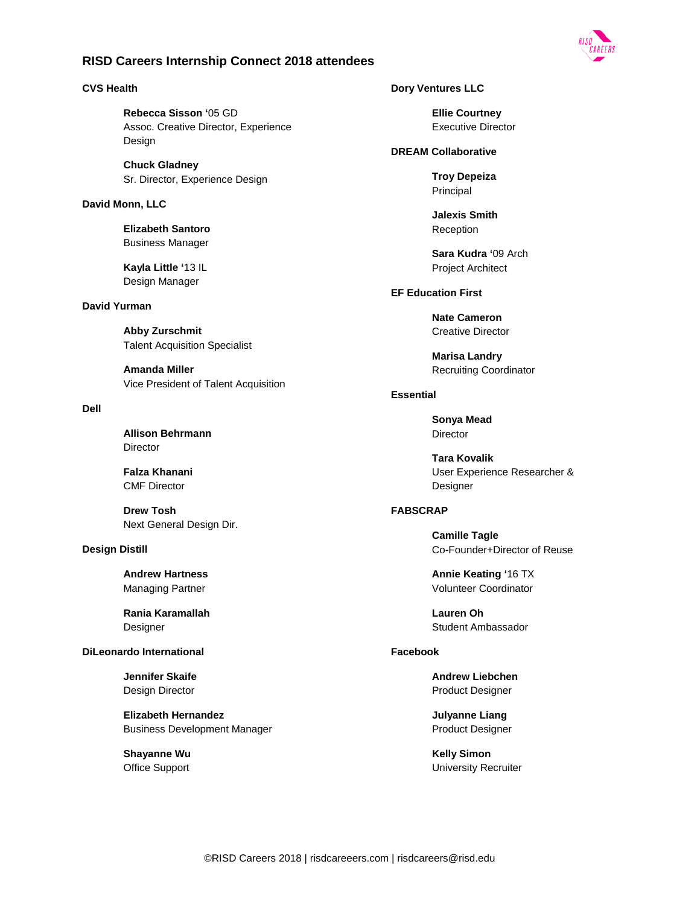

### **CVS Health**

**Rebecca Sisson '**05 GD Assoc. Creative Director, Experience Design

**Chuck Gladney**  Sr. Director, Experience Design

### **David Monn, LLC**

**Elizabeth Santoro**  Business Manager

**Kayla Little '**13 IL Design Manager

### **David Yurman**

**Abby Zurschmit**  Talent Acquisition Specialist

**Amanda Miller**  Vice President of Talent Acquisition

### **Dell**

**Allison Behrmann**  Director

**Falza Khanani**  CMF Director

**Drew Tosh**  Next General Design Dir.

### **Design Distill**

**Andrew Hartness**  Managing Partner

**Rania Karamallah**  Designer

### **DiLeonardo International**

**Jennifer Skaife**  Design Director

**Elizabeth Hernandez**  Business Development Manager

**Shayanne Wu**  Office Support

### **Dory Ventures LLC**

**Ellie Courtney**  Executive Director

### **DREAM Collaborative**

**Troy Depeiza**  Principal

**Jalexis Smith**  Reception

**Sara Kudra '**09 Arch Project Architect

**EF Education First**

**Nate Cameron**  Creative Director

**Marisa Landry**  Recruiting Coordinator

### **Essential**

**Sonya Mead**  Director

**Tara Kovalik**  User Experience Researcher & **Designer** 

## **FABSCRAP**

**Camille Tagle**  Co-Founder+Director of Reuse

**Annie Keating '**16 TX Volunteer Coordinator

**Lauren Oh**  Student Ambassador

### **Facebook**

**Andrew Liebchen**  Product Designer

**Julyanne Liang**  Product Designer

**Kelly Simon**  University Recruiter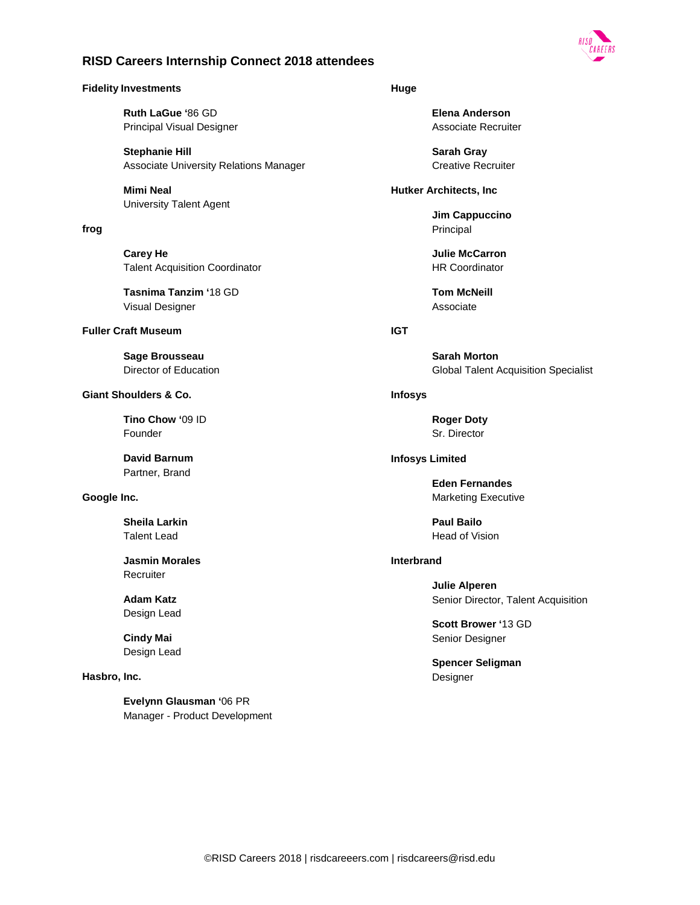

### **Fidelity Investments**

**Ruth LaGue '**86 GD Principal Visual Designer

**Stephanie Hill**  Associate University Relations Manager

**Mimi Neal**  University Talent Agent

### **frog**

**Carey He**  Talent Acquisition Coordinator

**Tasnima Tanzim '**18 GD Visual Designer

#### **Fuller Craft Museum**

**Sage Brousseau**  Director of Education

### **Giant Shoulders & Co.**

**Tino Chow '**09 ID Founder

**David Barnum**  Partner, Brand

### **Google Inc.**

**Sheila Larkin**  Talent Lead

**Jasmin Morales**  Recruiter

**Adam Katz**  Design Lead

**Cindy Mai**  Design Lead

### **Hasbro, Inc.**

**Evelynn Glausman '**06 PR Manager - Product Development

## **Huge**

**Elena Anderson**  Associate Recruiter

**Sarah Gray**  Creative Recruiter

**Hutker Architects, Inc**

**Jim Cappuccino**  Principal

**Julie McCarron**  HR Coordinator

**Tom McNeill**  Associate

### **IGT**

**Sarah Morton**  Global Talent Acquisition Specialist

### **Infosys**

**Roger Doty**  Sr. Director

## **Infosys Limited**

**Eden Fernandes**  Marketing Executive

**Paul Bailo**  Head of Vision

## **Interbrand**

**Julie Alperen**  Senior Director, Talent Acquisition

**Scott Brower '**13 GD Senior Designer

**Spencer Seligman**  Designer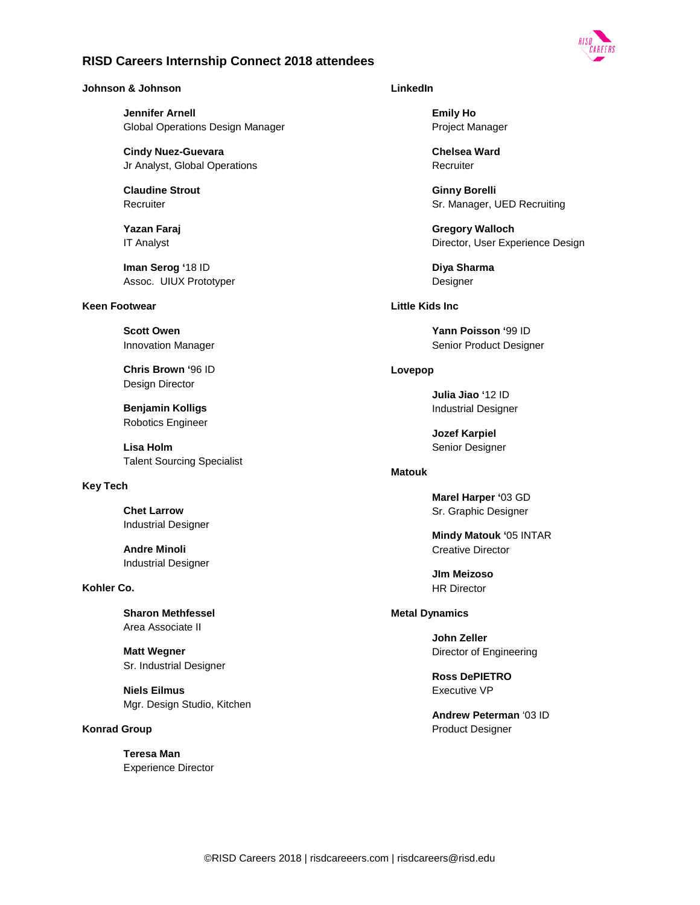

### **Johnson & Johnson**

**Jennifer Arnell**  Global Operations Design Manager

**Cindy Nuez-Guevara**  Jr Analyst, Global Operations

**Claudine Strout Recruiter** 

**Yazan Faraj**  IT Analyst

**Iman Serog '**18 ID Assoc. UIUX Prototyper

#### **Keen Footwear**

**Scott Owen**  Innovation Manager

**Chris Brown '**96 ID Design Director

**Benjamin Kolligs**  Robotics Engineer

**Lisa Holm**  Talent Sourcing Specialist

## **Key Tech**

**Chet Larrow**  Industrial Designer

**Andre Minoli**  Industrial Designer

## **Kohler Co.**

**Sharon Methfessel**  Area Associate II

**Matt Wegner**  Sr. Industrial Designer

**Niels Eilmus**  Mgr. Design Studio, Kitchen

## **Konrad Group**

**Teresa Man**  Experience Director

## **LinkedIn**

**Emily Ho**  Project Manager

**Chelsea Ward Recruiter** 

**Ginny Borelli**  Sr. Manager, UED Recruiting

**Gregory Walloch**  Director, User Experience Design

**Diya Sharma**  Designer

**Little Kids Inc**

**Yann Poisson '**99 ID Senior Product Designer

## **Lovepop**

**Julia Jiao '**12 ID Industrial Designer

**Jozef Karpiel**  Senior Designer

## **Matouk**

**Marel Harper '**03 GD Sr. Graphic Designer

**Mindy Matouk '**05 INTAR Creative Director

**JIm Meizoso**  HR Director

## **Metal Dynamics**

**John Zeller**  Director of Engineering

**Ross DePIETRO**  Executive VP

**Andrew Peterman** '03 ID Product Designer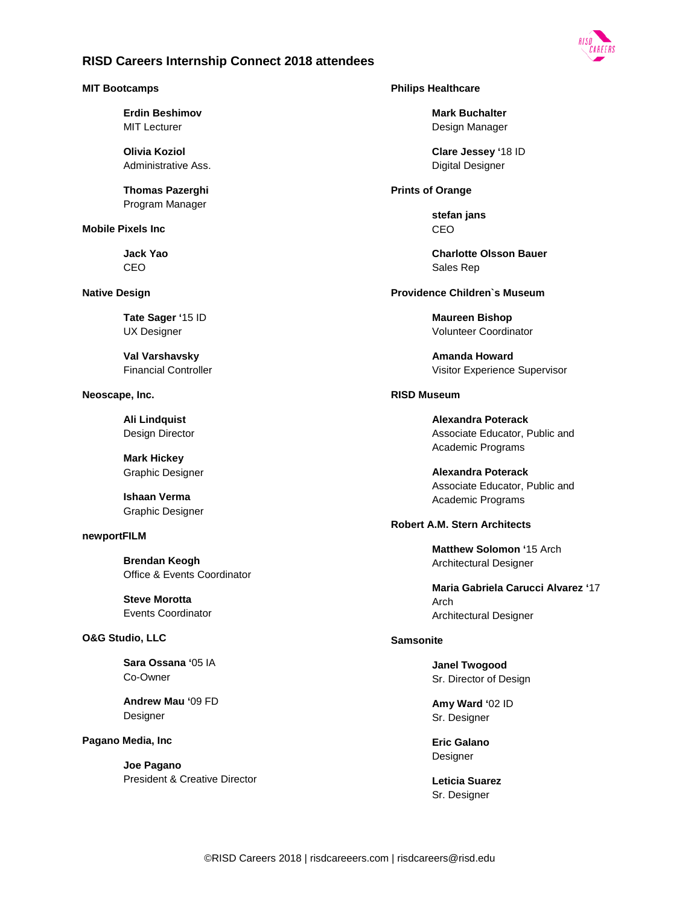

### **MIT Bootcamps**

**Erdin Beshimov**  MIT Lecturer

**Olivia Koziol**  Administrative Ass.

**Thomas Pazerghi**  Program Manager

#### **Mobile Pixels Inc**

**Jack Yao**  CEO

### **Native Design**

**Tate Sager '**15 ID UX Designer

**Val Varshavsky**  Financial Controller

**Neoscape, Inc.**

**Ali Lindquist**  Design Director

**Mark Hickey**  Graphic Designer

**Ishaan Verma**  Graphic Designer

### **newportFILM**

**Brendan Keogh**  Office & Events Coordinator

**Steve Morotta**  Events Coordinator

## **O&G Studio, LLC**

**Sara Ossana '**05 IA Co-Owner

**Andrew Mau '**09 FD Designer

**Pagano Media, Inc**

**Joe Pagano**  President & Creative Director

### **Philips Healthcare**

**Mark Buchalter**  Design Manager

**Clare Jessey '**18 ID Digital Designer

**Prints of Orange**

**stefan jans**  CEO

**Charlotte Olsson Bauer**  Sales Rep

**Providence Children`s Museum**

**Maureen Bishop**  Volunteer Coordinator

**Amanda Howard**  Visitor Experience Supervisor

### **RISD Museum**

**Alexandra Poterack**  Associate Educator, Public and Academic Programs

**Alexandra Poterack**  Associate Educator, Public and Academic Programs

### **Robert A.M. Stern Architects**

**Matthew Solomon '**15 Arch Architectural Designer

**Maria Gabriela Carucci Alvarez '**17 Arch Architectural Designer

## **Samsonite**

**Janel Twogood**  Sr. Director of Design

**Amy Ward '**02 ID Sr. Designer

**Eric Galano Designer** 

**Leticia Suarez**  Sr. Designer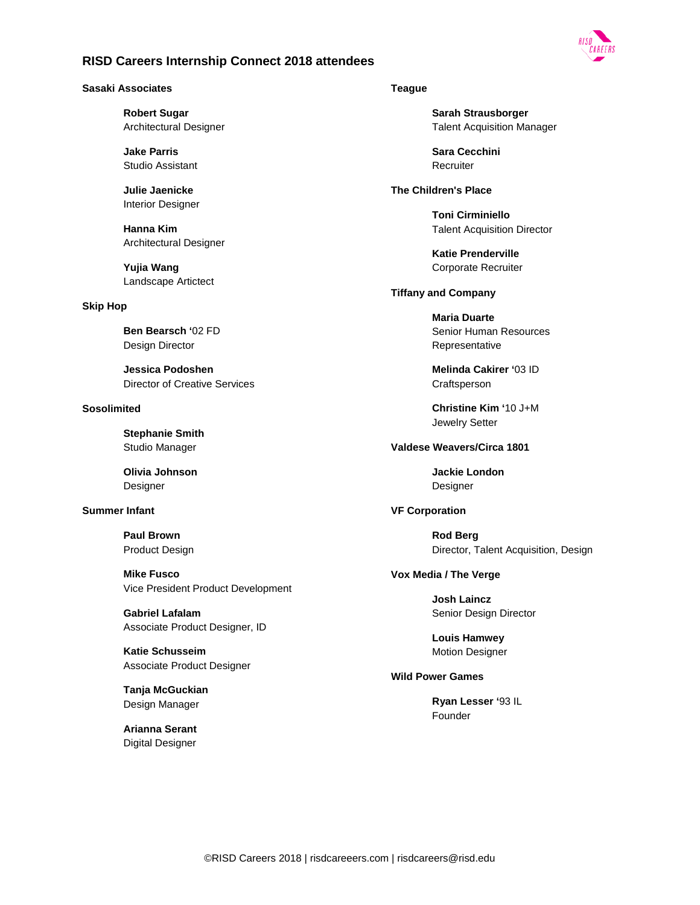

### **Sasaki Associates**

**Robert Sugar**  Architectural Designer

**Jake Parris**  Studio Assistant

**Julie Jaenicke**  Interior Designer

**Hanna Kim**  Architectural Designer

**Yujia Wang**  Landscape Artictect

### **Skip Hop**

**Ben Bearsch '**02 FD Design Director

**Jessica Podoshen**  Director of Creative Services

## **Sosolimited**

**Stephanie Smith**  Studio Manager

**Olivia Johnson**  Designer

## **Summer Infant**

**Paul Brown**  Product Design

**Mike Fusco**  Vice President Product Development

**Gabriel Lafalam**  Associate Product Designer, ID

**Katie Schusseim**  Associate Product Designer

**Tanja McGuckian**  Design Manager

**Arianna Serant**  Digital Designer

### **Teague**

**Sarah Strausborger**  Talent Acquisition Manager

**Sara Cecchini Recruiter** 

**The Children's Place**

**Toni Cirminiello**  Talent Acquisition Director

**Katie Prenderville**  Corporate Recruiter

**Tiffany and Company**

**Maria Duarte**  Senior Human Resources Representative

**Melinda Cakirer '**03 ID **Craftsperson** 

**Christine Kim '**10 J+M Jewelry Setter

**Valdese Weavers/Circa 1801**

**Jackie London Designer** 

### **VF Corporation**

**Rod Berg**  Director, Talent Acquisition, Design

**Vox Media / The Verge**

**Josh Laincz**  Senior Design Director

**Louis Hamwey**  Motion Designer

### **Wild Power Games**

**Ryan Lesser '**93 IL Founder